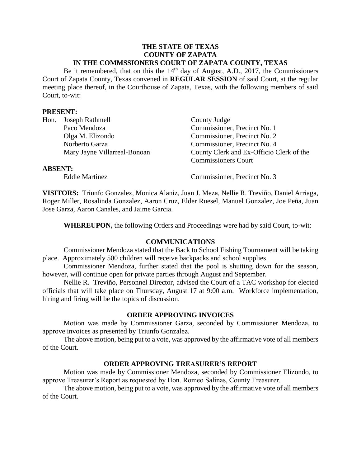#### **THE STATE OF TEXAS COUNTY OF ZAPATA IN THE COMMSSIONERS COURT OF ZAPATA COUNTY, TEXAS**

Be it remembered, that on this the 14<sup>th</sup> day of August, A.D., 2017, the Commissioners Court of Zapata County, Texas convened in **REGULAR SESSION** of said Court, at the regular meeting place thereof, in the Courthouse of Zapata, Texas, with the following members of said Court, to-wit:

#### **PRESENT:**

| Hon.           | Joseph Rathmell              | County Judge                             |
|----------------|------------------------------|------------------------------------------|
|                | Paco Mendoza                 | Commissioner, Precinct No. 1             |
|                | Olga M. Elizondo             | Commissioner, Precinct No. 2             |
|                | Norberto Garza               | Commissioner, Precinct No. 4             |
|                | Mary Jayne Villarreal-Bonoan | County Clerk and Ex-Officio Clerk of the |
|                |                              | <b>Commissioners Court</b>               |
| <b>ABSENT:</b> |                              |                                          |
|                | <b>Eddie Martinez</b>        | Commissioner, Precinct No. 3             |

**VISITORS:** Triunfo Gonzalez, Monica Alaniz, Juan J. Meza, Nellie R. Treviño, Daniel Arriaga, Roger Miller, Rosalinda Gonzalez, Aaron Cruz, Elder Ruesel, Manuel Gonzalez, Joe Peña, Juan Jose Garza, Aaron Canales, and Jaime Garcia.

**WHEREUPON,** the following Orders and Proceedings were had by said Court, to-wit:

#### **COMMUNICATIONS**

Commissioner Mendoza stated that the Back to School Fishing Tournament will be taking place. Approximately 500 children will receive backpacks and school supplies.

Commissioner Mendoza, further stated that the pool is shutting down for the season, however, will continue open for private parties through August and September.

Nellie R. Treviño, Personnel Director, advised the Court of a TAC workshop for elected officials that will take place on Thursday, August 17 at 9:00 a.m. Workforce implementation, hiring and firing will be the topics of discussion.

#### **ORDER APPROVING INVOICES**

Motion was made by Commissioner Garza, seconded by Commissioner Mendoza, to approve invoices as presented by Triunfo Gonzalez.

The above motion, being put to a vote, was approved by the affirmative vote of all members of the Court.

#### **ORDER APPROVING TREASURER'S REPORT**

Motion was made by Commissioner Mendoza, seconded by Commissioner Elizondo, to approve Treasurer's Report as requested by Hon. Romeo Salinas, County Treasurer.

The above motion, being put to a vote, was approved by the affirmative vote of all members of the Court.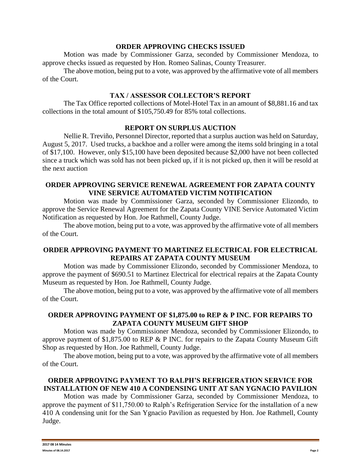#### **ORDER APPROVING CHECKS ISSUED**

Motion was made by Commissioner Garza, seconded by Commissioner Mendoza, to approve checks issued as requested by Hon. Romeo Salinas, County Treasurer.

The above motion, being put to a vote, was approved by the affirmative vote of all members of the Court.

### **TAX / ASSESSOR COLLECTOR'S REPORT**

The Tax Office reported collections of Motel-Hotel Tax in an amount of \$8,881.16 and tax collections in the total amount of \$105,750.49 for 85% total collections.

### **REPORT ON SURPLUS AUCTION**

Nellie R. Treviño, Personnel Director, reported that a surplus auction was held on Saturday, August 5, 2017. Used trucks, a backhoe and a roller were among the items sold bringing in a total of \$17,100. However, only \$15,100 have been deposited because \$2,000 have not been collected since a truck which was sold has not been picked up, if it is not picked up, then it will be resold at the next auction

### **ORDER APPROVING SERVICE RENEWAL AGREEMENT FOR ZAPATA COUNTY VINE SERVICE AUTOMATED VICTIM NOTIFICATION**

Motion was made by Commissioner Garza, seconded by Commissioner Elizondo, to approve the Service Renewal Agreement for the Zapata County VINE Service Automated Victim Notification as requested by Hon. Joe Rathmell, County Judge.

The above motion, being put to a vote, was approved by the affirmative vote of all members of the Court.

## **ORDER APPROVING PAYMENT TO MARTINEZ ELECTRICAL FOR ELECTRICAL REPAIRS AT ZAPATA COUNTY MUSEUM**

Motion was made by Commissioner Elizondo, seconded by Commissioner Mendoza, to approve the payment of \$690.51 to Martinez Electrical for electrical repairs at the Zapata County Museum as requested by Hon. Joe Rathmell, County Judge.

The above motion, being put to a vote, was approved by the affirmative vote of all members of the Court.

### **ORDER APPROVING PAYMENT OF \$1,875.00 to REP & P INC. FOR REPAIRS TO ZAPATA COUNTY MUSEUM GIFT SHOP**

Motion was made by Commissioner Mendoza, seconded by Commissioner Elizondo, to approve payment of \$1,875.00 to REP & P INC. for repairs to the Zapata County Museum Gift Shop as requested by Hon. Joe Rathmell, County Judge.

The above motion, being put to a vote, was approved by the affirmative vote of all members of the Court.

# **ORDER APPROVING PAYMENT TO RALPH'S REFRIGERATION SERVICE FOR INSTALLATION OF NEW 410 A CONDENSING UNIT AT SAN YGNACIO PAVILION**

Motion was made by Commissioner Garza, seconded by Commissioner Mendoza, to approve the payment of \$11,750.00 to Ralph's Refrigeration Service for the installation of a new 410 A condensing unit for the San Ygnacio Pavilion as requested by Hon. Joe Rathmell, County Judge.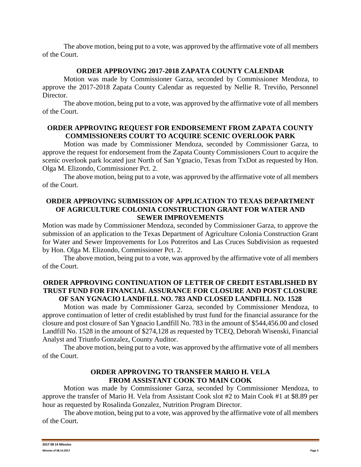The above motion, being put to a vote, was approved by the affirmative vote of all members of the Court.

### **ORDER APPROVING 2017-2018 ZAPATA COUNTY CALENDAR**

Motion was made by Commissioner Garza, seconded by Commissioner Mendoza, to approve the 2017-2018 Zapata County Calendar as requested by Nellie R. Treviño, Personnel Director.

The above motion, being put to a vote, was approved by the affirmative vote of all members of the Court.

### **ORDER APPROVING REQUEST FOR ENDORSEMENT FROM ZAPATA COUNTY COMMISSIONERS COURT TO ACQUIRE SCENIC OVERLOOK PARK**

Motion was made by Commissioner Mendoza, seconded by Commissioner Garza, to approve the request for endorsement from the Zapata County Commissioners Court to acquire the scenic overlook park located just North of San Ygnacio, Texas from TxDot as requested by Hon. Olga M. Elizondo, Commissioner Pct. 2.

The above motion, being put to a vote, was approved by the affirmative vote of all members of the Court.

### **ORDER APPROVING SUBMISSION OF APPLICATION TO TEXAS DEPARTMENT OF AGRICULTURE COLONIA CONSTRUCTION GRANT FOR WATER AND SEWER IMPROVEMENTS**

Motion was made by Commissioner Mendoza, seconded by Commissioner Garza, to approve the submission of an application to the Texas Department of Agriculture Colonia Construction Grant for Water and Sewer Improvements for Los Potreritos and Las Cruces Subdivision as requested by Hon. Olga M. Elizondo, Commissioner Pct. 2.

The above motion, being put to a vote, was approved by the affirmative vote of all members of the Court.

### **ORDER APPROVING CONTINUATION OF LETTER OF CREDIT ESTABLISHED BY TRUST FUND FOR FINANCIAL ASSURANCE FOR CLOSURE AND POST CLOSURE OF SAN YGNACIO LANDFILL NO. 783 AND CLOSED LANDFILL NO. 1528**

Motion was made by Commissioner Garza, seconded by Commissioner Mendoza, to approve continuation of letter of credit established by trust fund for the financial assurance for the closure and post closure of San Ygnacio Landfill No. 783 in the amount of \$544,456.00 and closed Landfill No. 1528 in the amount of \$274,128 as requested by TCEQ, Deborah Wisenski, Financial Analyst and Triunfo Gonzalez, County Auditor.

The above motion, being put to a vote, was approved by the affirmative vote of all members of the Court.

#### **ORDER APPROVING TO TRANSFER MARIO H. VELA FROM ASSISTANT COOK TO MAIN COOK**

Motion was made by Commissioner Garza, seconded by Commissioner Mendoza, to approve the transfer of Mario H. Vela from Assistant Cook slot #2 to Main Cook #1 at \$8.89 per hour as requested by Rosalinda Gonzalez, Nutrition Program Director.

The above motion, being put to a vote, was approved by the affirmative vote of all members of the Court.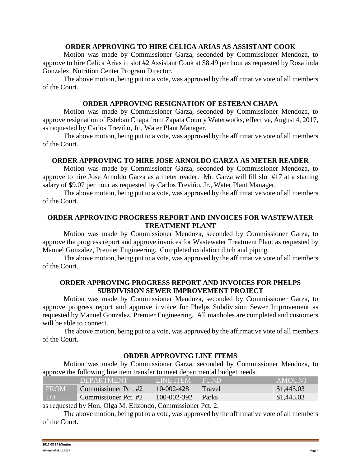#### **ORDER APPROVING TO HIRE CELICA ARIAS AS ASSISTANT COOK**

Motion was made by Commissioner Garza, seconded by Commissioner Mendoza, to approve to hire Celica Arias in slot #2 Assistant Cook at \$8.49 per hour as requested by Rosalinda Gonzalez, Nutrition Center Program Director.

The above motion, being put to a vote, was approved by the affirmative vote of all members of the Court.

#### **ORDER APPROVING RESIGNATION OF ESTEBAN CHAPA**

Motion was made by Commissioner Garza, seconded by Commissioner Mendoza, to approve resignation of Esteban Chapa from Zapata County Waterworks, effective, August 4, 2017, as requested by Carlos Treviño, Jr., Water Plant Manager.

The above motion, being put to a vote, was approved by the affirmative vote of all members of the Court.

#### **ORDER APPROVING TO HIRE JOSE ARNOLDO GARZA AS METER READER**

Motion was made by Commissioner Garza, seconded by Commissioner Mendoza, to approve to hire Jose Arnoldo Garza as a meter reader. Mr. Garza will fill slot #17 at a starting salary of \$9.07 per hour as requested by Carlos Treviño, Jr., Water Plant Manager.

The above motion, being put to a vote, was approved by the affirmative vote of all members of the Court.

### **ORDER APPROVING PROGRESS REPORT AND INVOICES FOR WASTEWATER TREATMENT PLANT**

Motion was made by Commissioner Mendoza, seconded by Commissioner Garza, to approve the progress report and approve invoices for Wastewater Treatment Plant as requested by Manuel Gonzalez, Premier Engineering. Completed oxidation ditch and piping.

The above motion, being put to a vote, was approved by the affirmative vote of all members of the Court.

#### **ORDER APPROVING PROGRESS REPORT AND INVOICES FOR PHELPS SUBDIVISION SEWER IMPROVEMENT PROJECT**

Motion was made by Commissioner Mendoza, seconded by Commissioner Garza, to approve progress report and approve invoice for Phelps Subdivision Sewer Improvement as requested by Manuel Gonzalez, Premier Engineering. All manholes are completed and customers will be able to connect.

The above motion, being put to a vote, was approved by the affirmative vote of all members of the Court.

#### **ORDER APPROVING LINE ITEMS**

Motion was made by Commissioner Garza, seconded by Commissioner Mendoza, to approve the following line item transfer to meet departmental budget needs.

|             | <b>DEPARTMENT</b>    | <b>LINE ITEM</b>  | <b>THIND</b> | <b>AMOUNT</b> |
|-------------|----------------------|-------------------|--------------|---------------|
| <b>FROM</b> | Commissioner Pct. #2 | 10-002-428        | Travel       | \$1,445.03    |
| <b>TO</b>   | Commissioner Pct. #2 | $100 - 002 - 392$ | Parks        | \$1,445.03    |
|             |                      |                   |              |               |

as requested by Hon. Olga M. Elizondo, Commissioner Pct. 2.

The above motion, being put to a vote, was approved by the affirmative vote of all members of the Court.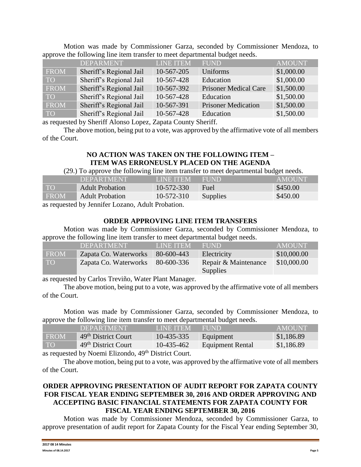| .    |                         |                  |                              |               |
|------|-------------------------|------------------|------------------------------|---------------|
|      | <b>DEPARMENT</b>        | <b>LINE ITEM</b> | <b>FUND</b>                  | <b>AMOUNT</b> |
| FROM | Sheriff's Regional Jail | 10-567-205       | Uniforms                     | \$1,000.00    |
| TO   | Sheriff's Regional Jail | 10-567-428       | Education                    | \$1,000.00    |
| FROM | Sheriff's Regional Jail | 10-567-392       | <b>Prisoner Medical Care</b> | \$1,500.00    |
| TO   | Sheriff's Regional Jail | 10-567-428       | Education                    | \$1,500.00    |
| FROM | Sheriff's Regional Jail | 10-567-391       | <b>Prisoner Medication</b>   | \$1,500.00    |
| TO   | Sheriff's Regional Jail | 10-567-428       | Education                    | \$1,500.00    |
|      |                         |                  |                              |               |

Motion was made by Commissioner Garza, seconded by Commissioner Mendoza, to approve the following line item transfer to meet departmental budget needs.

as requested by Sheriff Alonso Lopez, Zapata County Sheriff.

The above motion, being put to a vote, was approved by the affirmative vote of all members of the Court.

### **NO ACTION WAS TAKEN ON THE FOLLOWING ITEM – ITEM WAS ERRONEUSLY PLACED ON THE AGENDA**

(29.) To approve the following line item transfer to meet departmental budget needs.

|             | <b>DEPARTMENT</b>      | <b>LINE ITEM</b> | <b>FUND</b> | AMOUNT   |
|-------------|------------------------|------------------|-------------|----------|
|             | <b>Adult Probation</b> | $10 - 572 - 330$ | Fuel        | \$450.00 |
| <b>FROM</b> | <b>Adult Probation</b> | 10-572-310       | Supplies    | \$450.00 |
|             |                        | $\cdots$         |             |          |

as requested by Jennifer Lozano, Adult Probation.

# **ORDER APPROVING LINE ITEM TRANSFERS**

Motion was made by Commissioner Garza, seconded by Commissioner Mendoza, to approve the following line item transfer to meet departmental budget needs.

|             | DEPARTMENT            | <b>LINE ITEM</b> | 'FUND.                           | <b>AMOUNT</b> |
|-------------|-----------------------|------------------|----------------------------------|---------------|
| <b>FROM</b> | Zapata Co. Waterworks | 80-600-443       | Electricity                      | \$10,000.00   |
| <b>TO</b>   | Zapata Co. Waterworks | 80-600-336       | Repair & Maintenance<br>Supplies | \$10,000.00   |

as requested by Carlos Treviño, Water Plant Manager.

The above motion, being put to a vote, was approved by the affirmative vote of all members of the Court.

Motion was made by Commissioner Garza, seconded by Commissioner Mendoza, to approve the following line item transfer to meet departmental budget needs.

|                                                                       | <b>DEPARTMENT</b>               | <b>LINE ITEM</b> | FUND                    | <b>AMOUNT</b> |  |
|-----------------------------------------------------------------------|---------------------------------|------------------|-------------------------|---------------|--|
| <b>FROM</b>                                                           | 49 <sup>th</sup> District Court | 10-435-335       | Equipment               | \$1,186.89    |  |
| TO                                                                    | 49 <sup>th</sup> District Court | 10-435-462       | <b>Equipment Rental</b> | \$1,186.89    |  |
| $\mathbf{A}$ other $\mathbf{B}$ $\mathbf{B}$ $\mathbf{C}$<br>$\cdots$ |                                 |                  |                         |               |  |

as requested by Noemi Elizondo, 49<sup>th</sup> District Court.

The above motion, being put to a vote, was approved by the affirmative vote of all members of the Court.

# **ORDER APPROVING PRESENTATION OF AUDIT REPORT FOR ZAPATA COUNTY FOR FISCAL YEAR ENDING SEPTEMBER 30, 2016 AND ORDER APPROVING AND ACCEPTING BASIC FINANCIAL STATEMENTS FOR ZAPATA COUNTY FOR FISCAL YEAR ENDING SEPTEMBER 30, 2016**

Motion was made by Commissioner Mendoza, seconded by Commissioner Garza, to approve presentation of audit report for Zapata County for the Fiscal Year ending September 30,